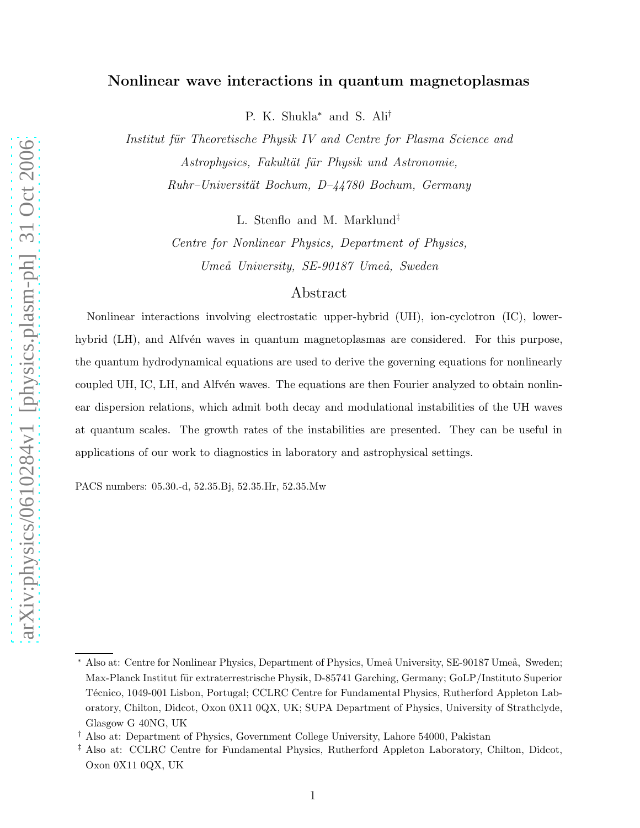# Nonlinear wave interactions in quantum magnetoplasmas

P. K. Shukla<sup>∗</sup> and S. Ali†

Institut für Theoretische Physik IV and Centre for Plasma Science and Astrophysics, Fakultät für Physik und Astronomie,  $Ruhr–Universität Bochum, D-44780 Bochum, Germany$ 

L. Stenflo and M. Marklund‡

Centre for Nonlinear Physics, Department of Physics, Umeå University, SE-90187 Umeå, Sweden

## Abstract

Nonlinear interactions involving electrostatic upper-hybrid (UH), ion-cyclotron (IC), lowerhybrid (LH), and Alfvén waves in quantum magnetoplasmas are considered. For this purpose, the quantum hydrodynamical equations are used to derive the governing equations for nonlinearly coupled UH, IC, LH, and Alfvén waves. The equations are then Fourier analyzed to obtain nonlinear dispersion relations, which admit both decay and modulational instabilities of the UH waves at quantum scales. The growth rates of the instabilities are presented. They can be useful in applications of our work to diagnostics in laboratory and astrophysical settings.

PACS numbers: 05.30.-d, 52.35.Bj, 52.35.Hr, 52.35.Mw

Also at: Centre for Nonlinear Physics, Department of Physics, Umeå University, SE-90187 Umeå, Sweden; Max-Planck Institut für extraterrestrische Physik, D-85741 Garching, Germany; GoLP/Instituto Superior Técnico, 1049-001 Lisbon, Portugal; CCLRC Centre for Fundamental Physics, Rutherford Appleton Laboratory, Chilton, Didcot, Oxon 0X11 0QX, UK; SUPA Department of Physics, University of Strathclyde, Glasgow G 40NG, UK

<sup>†</sup> Also at: Department of Physics, Government College University, Lahore 54000, Pakistan

<sup>‡</sup> Also at: CCLRC Centre for Fundamental Physics, Rutherford Appleton Laboratory, Chilton, Didcot, Oxon 0X11 0QX, UK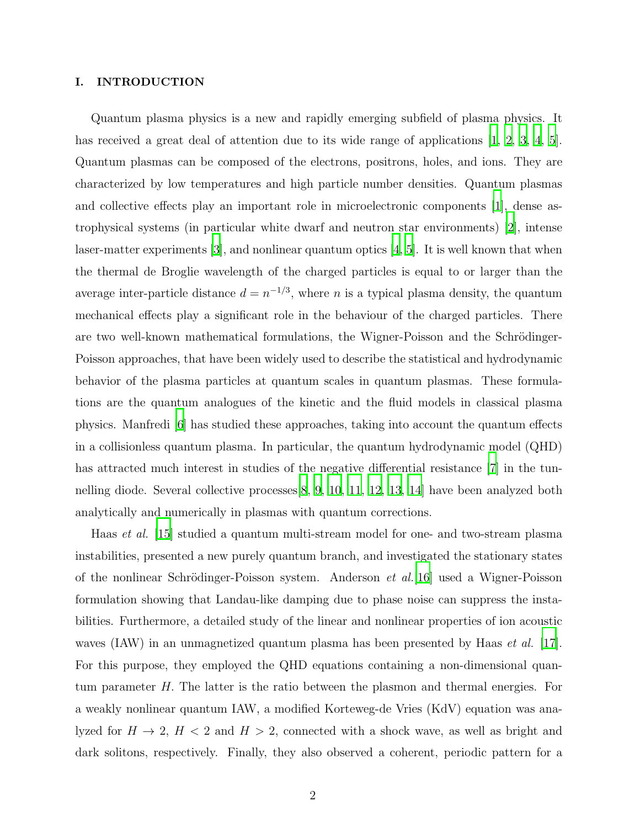## I. INTRODUCTION

Quantum plasma physics is a new and rapidly emerging subfield of plasma physics. It has received a great deal of attention due to its wide range of applications  $[1, 2, 3, 4, 5]$  $[1, 2, 3, 4, 5]$  $[1, 2, 3, 4, 5]$  $[1, 2, 3, 4, 5]$  $[1, 2, 3, 4, 5]$ . Quantum plasmas can be composed of the electrons, positrons, holes, and ions. They are characterized by low temperatures and high particle number densities. Quantum plasmas and collective effects play an important role in microelectronic components [\[1](#page-13-0)], dense astrophysical systems (in particular white dwarf and neutron star environments) [\[2\]](#page-13-1), intense laser-matter experiments [\[3](#page-13-2)], and nonlinear quantum optics [\[4](#page-13-3), [5\]](#page-13-4). It is well known that when the thermal de Broglie wavelength of the charged particles is equal to or larger than the average inter-particle distance  $d = n^{-1/3}$ , where n is a typical plasma density, the quantum mechanical effects play a significant role in the behaviour of the charged particles. There are two well-known mathematical formulations, the Wigner-Poisson and the Schrödinger-Poisson approaches, that have been widely used to describe the statistical and hydrodynamic behavior of the plasma particles at quantum scales in quantum plasmas. These formulations are the quantum analogues of the kinetic and the fluid models in classical plasma physics. Manfredi [\[6\]](#page-13-5) has studied these approaches, taking into account the quantum effects in a collisionless quantum plasma. In particular, the quantum hydrodynamic model (QHD) has attracted much interest in studies of the negative differential resistance [\[7\]](#page-13-6) in the tunnelling diode. Several collective processes  $\vert 8, 9, 10, 11, 12, 13, 14 \vert$  $\vert 8, 9, 10, 11, 12, 13, 14 \vert$  $\vert 8, 9, 10, 11, 12, 13, 14 \vert$  $\vert 8, 9, 10, 11, 12, 13, 14 \vert$  $\vert 8, 9, 10, 11, 12, 13, 14 \vert$  $\vert 8, 9, 10, 11, 12, 13, 14 \vert$  $\vert 8, 9, 10, 11, 12, 13, 14 \vert$  $\vert 8, 9, 10, 11, 12, 13, 14 \vert$  $\vert 8, 9, 10, 11, 12, 13, 14 \vert$  $\vert 8, 9, 10, 11, 12, 13, 14 \vert$  have been analyzed both analytically and numerically in plasmas with quantum corrections.

Haas et al. [\[15\]](#page-14-2) studied a quantum multi-stream model for one- and two-stream plasma instabilities, presented a new purely quantum branch, and investigated the stationary states of the nonlinear Schrödinger-Poisson system. Anderson *et al.*[\[16](#page-14-3)] used a Wigner-Poisson formulation showing that Landau-like damping due to phase noise can suppress the instabilities. Furthermore, a detailed study of the linear and nonlinear properties of ion acoustic waves (IAW) in an unmagnetized quantum plasma has been presented by Haas *et al.* [\[17\]](#page-14-4). For this purpose, they employed the QHD equations containing a non-dimensional quantum parameter H. The latter is the ratio between the plasmon and thermal energies. For a weakly nonlinear quantum IAW, a modified Korteweg-de Vries (KdV) equation was analyzed for  $H \rightarrow 2$ ,  $H < 2$  and  $H > 2$ , connected with a shock wave, as well as bright and dark solitons, respectively. Finally, they also observed a coherent, periodic pattern for a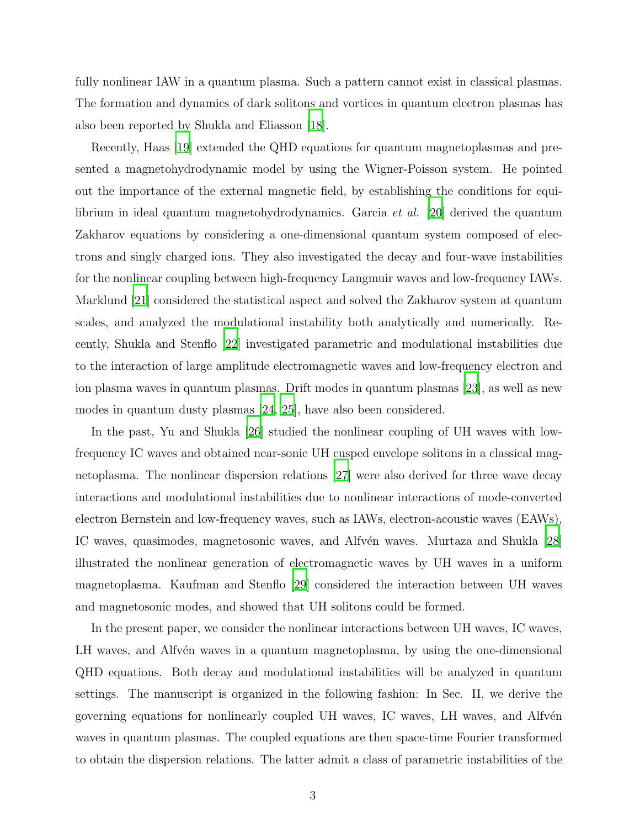fully nonlinear IAW in a quantum plasma. Such a pattern cannot exist in classical plasmas. The formation and dynamics of dark solitons and vortices in quantum electron plasmas has also been reported by Shukla and Eliasson [\[18\]](#page-14-5).

Recently, Haas [\[19](#page-14-6)] extended the QHD equations for quantum magnetoplasmas and presented a magnetohydrodynamic model by using the Wigner-Poisson system. He pointed out the importance of the external magnetic field, by establishing the conditions for equilibrium in ideal quantum magnetohydrodynamics. Garcia et al. [\[20\]](#page-14-7) derived the quantum Zakharov equations by considering a one-dimensional quantum system composed of electrons and singly charged ions. They also investigated the decay and four-wave instabilities for the nonlinear coupling between high-frequency Langmuir waves and low-frequency IAWs. Marklund [\[21\]](#page-14-8) considered the statistical aspect and solved the Zakharov system at quantum scales, and analyzed the modulational instability both analytically and numerically. Recently, Shukla and Stenflo [\[22](#page-14-9)] investigated parametric and modulational instabilities due to the interaction of large amplitude electromagnetic waves and low-frequency electron and ion plasma waves in quantum plasmas. Drift modes in quantum plasmas [\[23\]](#page-14-10), as well as new modes in quantum dusty plasmas [\[24,](#page-14-11) [25](#page-14-12)], have also been considered.

In the past, Yu and Shukla [\[26](#page-14-13)] studied the nonlinear coupling of UH waves with lowfrequency IC waves and obtained near-sonic UH cusped envelope solitons in a classical magnetoplasma. The nonlinear dispersion relations [\[27\]](#page-14-14) were also derived for three wave decay interactions and modulational instabilities due to nonlinear interactions of mode-converted electron Bernstein and low-frequency waves, such as IAWs, electron-acoustic waves (EAWs), IC waves, quasimodes, magnetosonic waves, and Alfvén waves. Murtaza and Shukla [\[28\]](#page-14-15) illustrated the nonlinear generation of electromagnetic waves by UH waves in a uniform magnetoplasma. Kaufman and Stenflo [\[29](#page-14-16)] considered the interaction between UH waves and magnetosonic modes, and showed that UH solitons could be formed.

In the present paper, we consider the nonlinear interactions between UH waves, IC waves, LH waves, and Alfv<sup>én</sup> waves in a quantum magnetoplasma, by using the one-dimensional QHD equations. Both decay and modulational instabilities will be analyzed in quantum settings. The manuscript is organized in the following fashion: In Sec. II, we derive the governing equations for nonlinearly coupled UH waves, IC waves, LH waves, and Alfv $\acute{e}$ n waves in quantum plasmas. The coupled equations are then space-time Fourier transformed to obtain the dispersion relations. The latter admit a class of parametric instabilities of the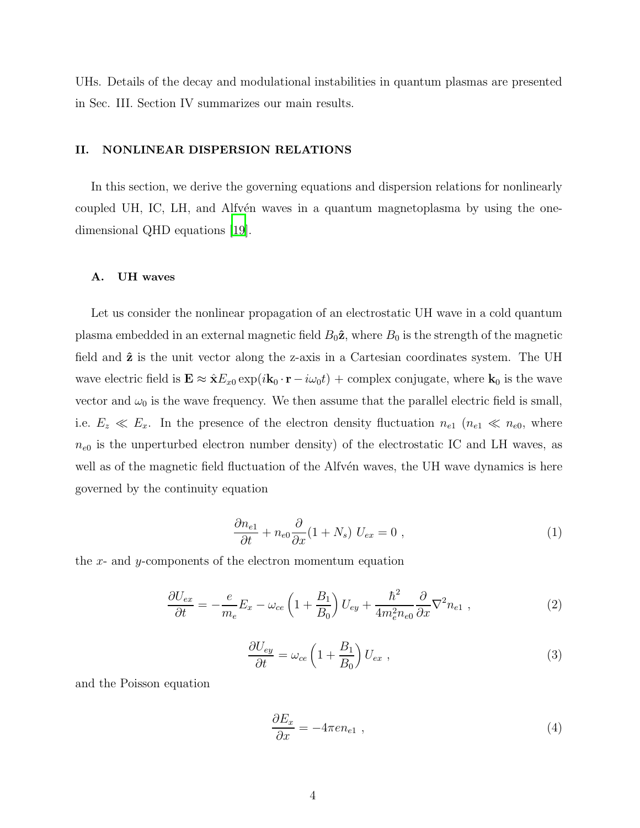UHs. Details of the decay and modulational instabilities in quantum plasmas are presented in Sec. III. Section IV summarizes our main results.

## II. NONLINEAR DISPERSION RELATIONS

In this section, we derive the governing equations and dispersion relations for nonlinearly coupled UH, IC, LH, and Alfvén waves in a quantum magnetoplasma by using the onedimensional QHD equations [\[19\]](#page-14-6).

## A. UH waves

Let us consider the nonlinear propagation of an electrostatic UH wave in a cold quantum plasma embedded in an external magnetic field  $B_0\hat{z}$ , where  $B_0$  is the strength of the magnetic field and  $\hat{z}$  is the unit vector along the z-axis in a Cartesian coordinates system. The UH wave electric field is  $\mathbf{E} \approx \hat{\mathbf{x}} E_{x0} \exp(i\mathbf{k}_0 \cdot \mathbf{r} - i\omega_0 t) +$  complex conjugate, where  $\mathbf{k}_0$  is the wave vector and  $\omega_0$  is the wave frequency. We then assume that the parallel electric field is small, i.e.  $E_z \ll E_x$ . In the presence of the electron density fluctuation  $n_{e1}$  ( $n_{e1} \ll n_{e0}$ , where  $n_{e0}$  is the unperturbed electron number density) of the electrostatic IC and LH waves, as well as of the magnetic field fluctuation of the Alfvén waves, the UH wave dynamics is here governed by the continuity equation

$$
\frac{\partial n_{e1}}{\partial t} + n_{e0} \frac{\partial}{\partial x} (1 + N_s) U_{ex} = 0 , \qquad (1)
$$

the  $x$ - and  $y$ -components of the electron momentum equation

$$
\frac{\partial U_{ex}}{\partial t} = -\frac{e}{m_e} E_x - \omega_{ce} \left( 1 + \frac{B_1}{B_0} \right) U_{ey} + \frac{\hbar^2}{4m_e^2 n_{e0}} \frac{\partial}{\partial x} \nabla^2 n_{e1} , \qquad (2)
$$

$$
\frac{\partial U_{ey}}{\partial t} = \omega_{ce} \left( 1 + \frac{B_1}{B_0} \right) U_{ex} , \qquad (3)
$$

and the Poisson equation

$$
\frac{\partial E_x}{\partial x} = -4\pi e n_{e1} \tag{4}
$$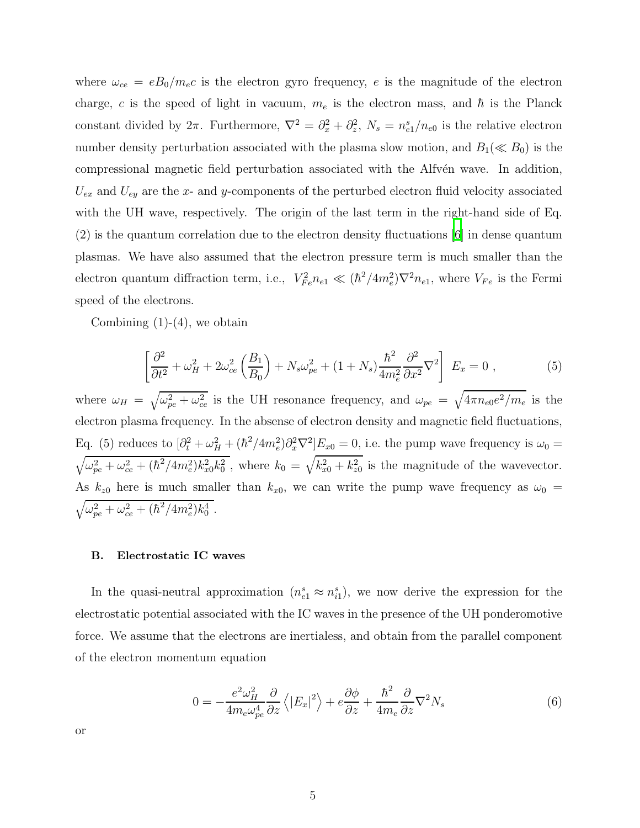where  $\omega_{ce} = eB_0/m_ec$  is the electron gyro frequency, e is the magnitude of the electron charge, c is the speed of light in vacuum,  $m_e$  is the electron mass, and  $\hbar$  is the Planck constant divided by  $2\pi$ . Furthermore,  $\nabla^2 = \partial_x^2 + \partial_z^2$  $n_z^2$ ,  $N_s = n_{e1}^s/n_{e0}$  is the relative electron number density perturbation associated with the plasma slow motion, and  $B_1(\ll B_0)$  is the compressional magnetic field perturbation associated with the Alfvén wave. In addition,  $U_{ex}$  and  $U_{ey}$  are the x- and y-components of the perturbed electron fluid velocity associated with the UH wave, respectively. The origin of the last term in the right-hand side of Eq. (2) is the quantum correlation due to the electron density fluctuations [\[6\]](#page-13-5) in dense quantum plasmas. We have also assumed that the electron pressure term is much smaller than the electron quantum diffraction term, i.e.,  $V_{Fe}^2 n_{e1} \ll (\hbar^2/4m_e^2)\nabla^2 n_{e1}$ , where  $V_{Fe}$  is the Fermi speed of the electrons.

Combining  $(1)-(4)$ , we obtain

$$
\left[\frac{\partial^2}{\partial t^2} + \omega_H^2 + 2\omega_{ce}^2 \left(\frac{B_1}{B_0}\right) + N_s \omega_{pe}^2 + (1 + N_s) \frac{\hbar^2}{4m_e^2} \frac{\partial^2}{\partial x^2} \nabla^2\right] E_x = 0 , \qquad (5)
$$

where  $\omega_H = \sqrt{\omega_{pe}^2 + \omega_{ce}^2}$  is the UH resonance frequency, and  $\omega_{pe} = \sqrt{4\pi n_{e0}e^2/m_e}$  is the electron plasma frequency. In the absense of electron density and magnetic field fluctuations, Eq. (5) reduces to  $\left[\partial_t^2 + \omega_H^2 + (\hbar^2/4m_e^2)\partial_x^2\nabla^2\right]E_{x0} = 0$ , i.e. the pump wave frequency is  $\omega_0 =$  $\sqrt{\omega_{pe}^2 + \omega_{ce}^2 + (\hbar^2/4m_e^2)k_{x0}^2k_0^2}$ , where  $k_0 = \sqrt{k_{x0}^2 + k_{z0}^2}$  is the magnitude of the wavevector. As  $k_{z0}$  here is much smaller than  $k_{x0}$ , we can write the pump wave frequency as  $\omega_0 =$  $\sqrt{\omega_{pe}^2 + \omega_{ce}^2 + (\hbar^2/4m_e^2)k_0^4}$  .

#### B. Electrostatic IC waves

In the quasi-neutral approximation  $(n_{e1}^s \approx n_{i1}^s)$ , we now derive the expression for the electrostatic potential associated with the IC waves in the presence of the UH ponderomotive force. We assume that the electrons are inertialess, and obtain from the parallel component of the electron momentum equation

$$
0 = -\frac{e^2 \omega_H^2}{4m_e \omega_{pe}^4} \frac{\partial}{\partial z} \left\langle |E_x|^2 \right\rangle + e \frac{\partial \phi}{\partial z} + \frac{\hbar^2}{4m_e} \frac{\partial}{\partial z} \nabla^2 N_s \tag{6}
$$

or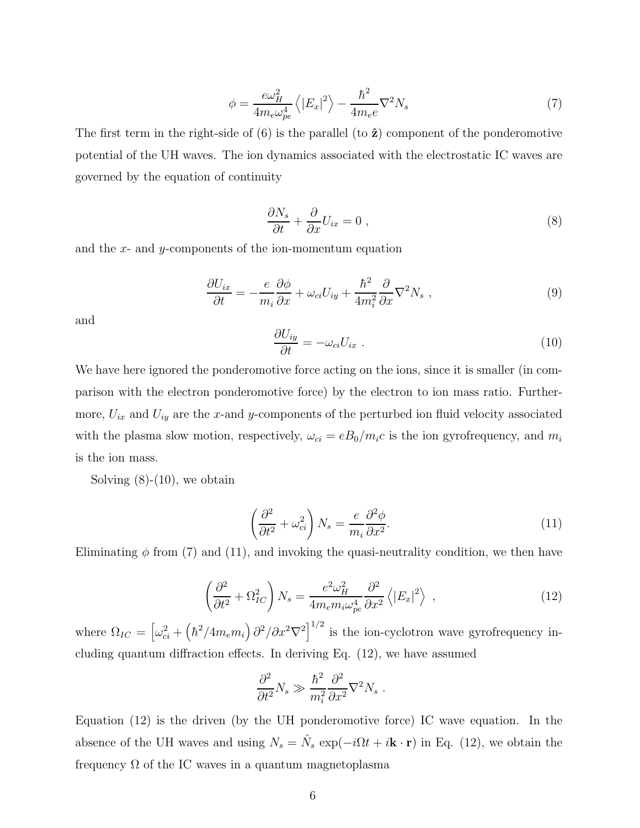$$
\phi = \frac{e\omega_H^2}{4m_e\omega_{pe}^4} \left\langle |E_x|^2 \right\rangle - \frac{\hbar^2}{4m_e e} \nabla^2 N_s \tag{7}
$$

The first term in the right-side of  $(6)$  is the parallel  $(to \hat{z})$  component of the ponderomotive potential of the UH waves. The ion dynamics associated with the electrostatic IC waves are governed by the equation of continuity

$$
\frac{\partial N_s}{\partial t} + \frac{\partial}{\partial x} U_{ix} = 0 \tag{8}
$$

and the  $x$ - and  $y$ -components of the ion-momentum equation

$$
\frac{\partial U_{ix}}{\partial t} = -\frac{e}{m_i} \frac{\partial \phi}{\partial x} + \omega_{ci} U_{iy} + \frac{\hbar^2}{4m_i^2} \frac{\partial}{\partial x} \nabla^2 N_s , \qquad (9)
$$

and

$$
\frac{\partial U_{iy}}{\partial t} = -\omega_{ci} U_{ix} \tag{10}
$$

We have here ignored the ponderomotive force acting on the ions, since it is smaller (in comparison with the electron ponderomotive force) by the electron to ion mass ratio. Furthermore,  $U_{ix}$  and  $U_{iy}$  are the x-and y-components of the perturbed ion fluid velocity associated with the plasma slow motion, respectively,  $\omega_{ci} = eB_0/m_ic$  is the ion gyrofrequency, and  $m_i$ is the ion mass.

Solving  $(8)-(10)$ , we obtain

$$
\left(\frac{\partial^2}{\partial t^2} + \omega_{ci}^2\right) N_s = \frac{e}{m_i} \frac{\partial^2 \phi}{\partial x^2}.
$$
\n(11)

Eliminating  $\phi$  from (7) and (11), and invoking the quasi-neutrality condition, we then have

$$
\left(\frac{\partial^2}{\partial t^2} + \Omega_{IC}^2\right) N_s = \frac{e^2 \omega_H^2}{4m_e m_i \omega_{pe}^4} \frac{\partial^2}{\partial x^2} \left\langle |E_x|^2 \right\rangle ,\qquad (12)
$$

where  $\Omega_{IC} = \left[\omega_{ci}^2 + \left(\hbar^2/4m_e m_i\right)\partial^2/\partial x^2 \nabla^2\right]^{1/2}$  is the ion-cyclotron wave gyrofrequency including quantum diffraction effects. In deriving Eq. (12), we have assumed

$$
\frac{\partial^2}{\partial t^2} N_s \gg \frac{\hbar^2}{m_i^2} \frac{\partial^2}{\partial x^2} \nabla^2 N_s \ .
$$

Equation (12) is the driven (by the UH ponderomotive force) IC wave equation. In the absence of the UH waves and using  $N_s = \hat{N}_s \exp(-i\Omega t + i\mathbf{k} \cdot \mathbf{r})$  in Eq. (12), we obtain the frequency  $\Omega$  of the IC waves in a quantum magnetoplasma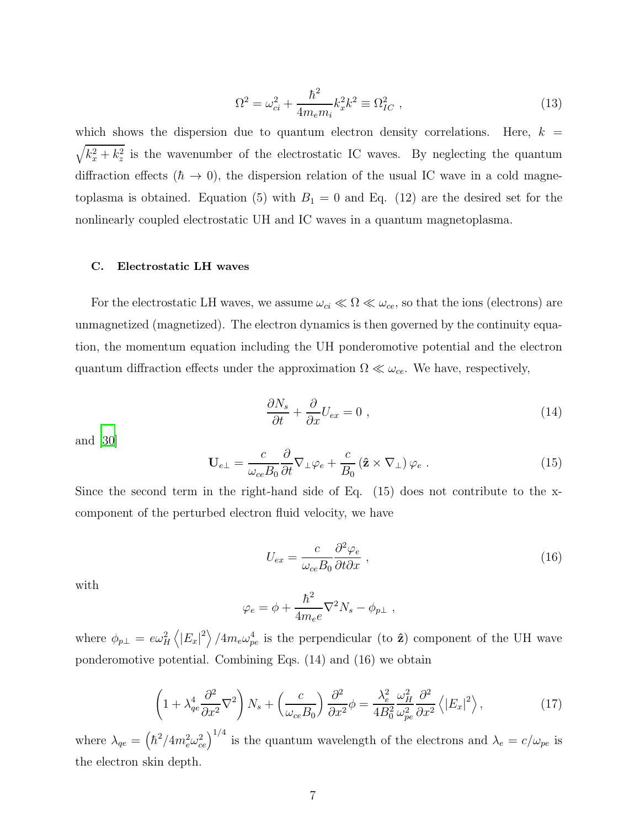$$
\Omega^2 = \omega_{ci}^2 + \frac{\hbar^2}{4m_e m_i} k_x^2 k^2 \equiv \Omega_{IC}^2 \;, \tag{13}
$$

which shows the dispersion due to quantum electron density correlations. Here,  $k =$  $\sqrt{k_x^2 + k_z^2}$  is the wavenumber of the electrostatic IC waves. By neglecting the quantum diffraction effects ( $\hbar \rightarrow 0$ ), the dispersion relation of the usual IC wave in a cold magnetoplasma is obtained. Equation (5) with  $B_1 = 0$  and Eq. (12) are the desired set for the nonlinearly coupled electrostatic UH and IC waves in a quantum magnetoplasma.

## C. Electrostatic LH waves

For the electrostatic LH waves, we assume  $\omega_{ci} \ll \Omega \ll \omega_{ce}$ , so that the ions (electrons) are unmagnetized (magnetized). The electron dynamics is then governed by the continuity equation, the momentum equation including the UH ponderomotive potential and the electron quantum diffraction effects under the approximation  $\Omega \ll \omega_{ce}$ . We have, respectively,

$$
\frac{\partial N_s}{\partial t} + \frac{\partial}{\partial x} U_{ex} = 0 \tag{14}
$$

and [\[30\]](#page-14-17)

$$
\mathbf{U}_{e\perp} = \frac{c}{\omega_{ce}B_0} \frac{\partial}{\partial t} \nabla_{\perp} \varphi_e + \frac{c}{B_0} \left( \hat{\mathbf{z}} \times \nabla_{\perp} \right) \varphi_e \; . \tag{15}
$$

Since the second term in the right-hand side of Eq. (15) does not contribute to the xcomponent of the perturbed electron fluid velocity, we have

$$
U_{ex} = \frac{c}{\omega_{ce} B_0} \frac{\partial^2 \varphi_e}{\partial t \partial x} \,, \tag{16}
$$

with

$$
\varphi_e = \phi + \frac{\hbar^2}{4m_e e} \nabla^2 N_s - \phi_{p\perp} ,
$$

where  $\phi_{p\perp} = e\omega_H^2 \left\langle |E_x|^2 \right\rangle / 4m_e\omega_{pe}^4$  is the perpendicular (to  $\hat{\mathbf{z}}$ ) component of the UH wave ponderomotive potential. Combining Eqs. (14) and (16) we obtain

$$
\left(1+\lambda_{qe}^{4}\frac{\partial^{2}}{\partial x^{2}}\nabla^{2}\right)N_{s}+\left(\frac{c}{\omega_{ce}B_{0}}\right)\frac{\partial^{2}}{\partial x^{2}}\phi=\frac{\lambda_{e}^{2}}{4B_{0}^{2}}\frac{\omega_{H}^{2}}{\omega_{pe}^{2}}\frac{\partial^{2}}{\partial x^{2}}\left\langle\left|E_{x}\right|^{2}\right\rangle,\tag{17}
$$

where  $\lambda_{qe} = (\hbar^2/4m_e^2\omega_{ce}^2)^{1/4}$  is the quantum wavelength of the electrons and  $\lambda_e = c/\omega_{pe}$  is the electron skin depth.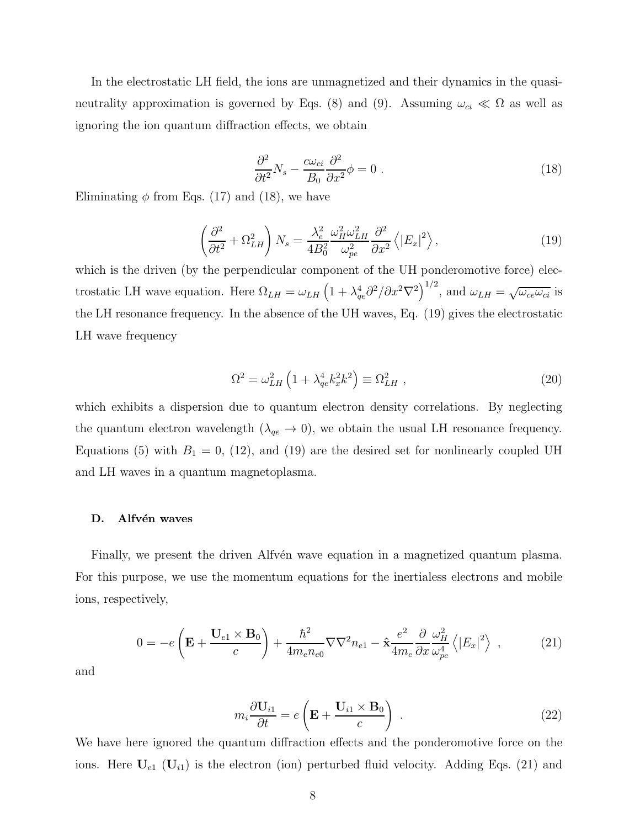In the electrostatic LH field, the ions are unmagnetized and their dynamics in the quasineutrality approximation is governed by Eqs. (8) and (9). Assuming  $\omega_{ci} \ll \Omega$  as well as ignoring the ion quantum diffraction effects, we obtain

$$
\frac{\partial^2}{\partial t^2} N_s - \frac{c\omega_{ci}}{B_0} \frac{\partial^2}{\partial x^2} \phi = 0 \tag{18}
$$

Eliminating  $\phi$  from Eqs. (17) and (18), we have

$$
\left(\frac{\partial^2}{\partial t^2} + \Omega_{LH}^2\right) N_s = \frac{\lambda_e^2}{4B_0^2} \frac{\omega_H^2 \omega_{LH}^2}{\omega_{pe}^2} \frac{\partial^2}{\partial x^2} \left\langle |E_x|^2 \right\rangle,\tag{19}
$$

which is the driven (by the perpendicular component of the UH ponderomotive force) electrostatic LH wave equation. Here  $\Omega_{LH} = \omega_{LH} \left( 1 + \lambda_{qe}^4 \partial^2 / \partial x^2 \nabla^2 \right)^{1/2}$ , and  $\omega_{LH} = \sqrt{\omega_{ce} \omega_{ci}}$  is the LH resonance frequency. In the absence of the UH waves, Eq. (19) gives the electrostatic LH wave frequency

$$
\Omega^2 = \omega_{LH}^2 \left( 1 + \lambda_{qe}^4 k_x^2 k^2 \right) \equiv \Omega_{LH}^2 \tag{20}
$$

which exhibits a dispersion due to quantum electron density correlations. By neglecting the quantum electron wavelength  $(\lambda_{qe} \rightarrow 0)$ , we obtain the usual LH resonance frequency. Equations (5) with  $B_1 = 0$ , (12), and (19) are the desired set for nonlinearly coupled UH and LH waves in a quantum magnetoplasma.

#### D. Alfvén waves

Finally, we present the driven Alfvén wave equation in a magnetized quantum plasma. For this purpose, we use the momentum equations for the inertialess electrons and mobile ions, respectively,

$$
0 = -e\left(\mathbf{E} + \frac{\mathbf{U}_{e1} \times \mathbf{B}_0}{c}\right) + \frac{\hbar^2}{4m_e n_{e0}} \nabla \nabla^2 n_{e1} - \hat{\mathbf{x}} \frac{e^2}{4m_e} \frac{\partial}{\partial x} \frac{\omega_H^2}{\omega_{pe}^4} \left\langle |E_x|^2 \right\rangle , \qquad (21)
$$

and

$$
m_i \frac{\partial \mathbf{U}_{i1}}{\partial t} = e \left( \mathbf{E} + \frac{\mathbf{U}_{i1} \times \mathbf{B}_0}{c} \right) . \tag{22}
$$

We have here ignored the quantum diffraction effects and the ponderomotive force on the ions. Here  $U_{e1}$  ( $U_{i1}$ ) is the electron (ion) perturbed fluid velocity. Adding Eqs. (21) and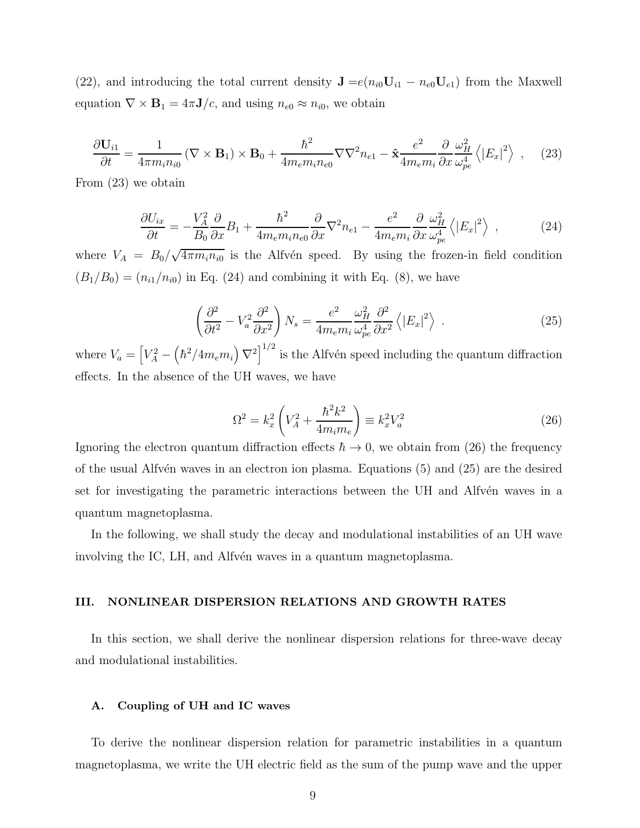(22), and introducing the total current density  $\mathbf{J} = e(n_{i0}\mathbf{U}_{i1} - n_{e0}\mathbf{U}_{e1})$  from the Maxwell equation  $\nabla \times \mathbf{B}_1 = 4\pi \mathbf{J}/c$ , and using  $n_{e0} \approx n_{i0}$ , we obtain

$$
\frac{\partial \mathbf{U}_{i1}}{\partial t} = \frac{1}{4\pi m_i n_{i0}} \left( \nabla \times \mathbf{B}_1 \right) \times \mathbf{B}_0 + \frac{\hbar^2}{4m_e m_i n_{e0}} \nabla \nabla^2 n_{e1} - \hat{\mathbf{x}} \frac{e^2}{4m_e m_i} \frac{\partial}{\partial x} \frac{\omega_H^2}{\omega_{pe}^4} \left\langle |E_x|^2 \right\rangle , \quad (23)
$$

From (23) we obtain

$$
\frac{\partial U_{ix}}{\partial t} = -\frac{V_A^2}{B_0} \frac{\partial}{\partial x} B_1 + \frac{\hbar^2}{4m_e m_i n_{e0}} \frac{\partial}{\partial x} \nabla^2 n_{e1} - \frac{e^2}{4m_e m_i} \frac{\partial}{\partial x} \frac{\omega_H^2}{\omega_{pe}^4} \left\langle |E_x|^2 \right\rangle , \qquad (24)
$$

where  $V_A = B_0 / \sqrt{4 \pi m_i n_{i0}}$  is the Alfvén speed. By using the frozen-in field condition  $(B_1/B_0) = (n_{i1}/n_{i0})$  in Eq. (24) and combining it with Eq. (8), we have

$$
\left(\frac{\partial^2}{\partial t^2} - V_a^2 \frac{\partial^2}{\partial x^2}\right) N_s = \frac{e^2}{4m_e m_i} \frac{\omega_H^2}{\omega_{pe}^4} \frac{\partial^2}{\partial x^2} \left\langle |E_x|^2 \right\rangle \tag{25}
$$

where  $V_a = \left[ V_A^2 - \left( \hbar^2 / 4m_e m_i \right) \nabla^2 \right]^{1/2}$  is the Alfvén speed including the quantum diffraction effects. In the absence of the UH waves, we have

$$
\Omega^2 = k_x^2 \left( V_A^2 + \frac{\hbar^2 k^2}{4m_i m_e} \right) \equiv k_x^2 V_a^2 \tag{26}
$$

Ignoring the electron quantum diffraction effects  $\hbar \to 0$ , we obtain from (26) the frequency of the usual Alfv $\acute{e}$ n waves in an electron ion plasma. Equations (5) and (25) are the desired set for investigating the parametric interactions between the UH and Alfvén waves in a quantum magnetoplasma.

In the following, we shall study the decay and modulational instabilities of an UH wave involving the IC, LH, and Alfvén waves in a quantum magnetoplasma.

## III. NONLINEAR DISPERSION RELATIONS AND GROWTH RATES

In this section, we shall derive the nonlinear dispersion relations for three-wave decay and modulational instabilities.

## A. Coupling of UH and IC waves

To derive the nonlinear dispersion relation for parametric instabilities in a quantum magnetoplasma, we write the UH electric field as the sum of the pump wave and the upper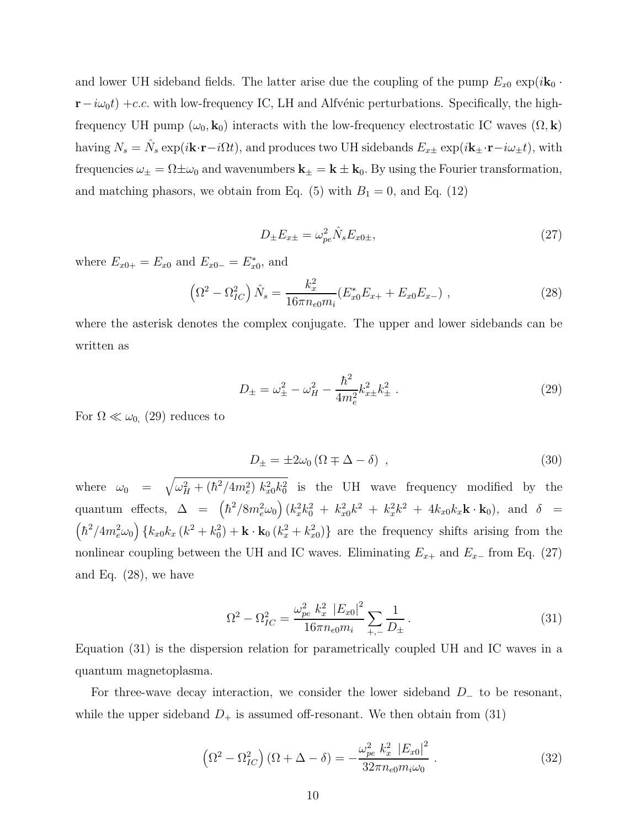and lower UH sideband fields. The latter arise due the coupling of the pump  $E_{x0}$  exp( $i\mathbf{k}_0$  ·  $r-i\omega_0t$ ) +c.c. with low-frequency IC, LH and Alfvénic perturbations. Specifically, the highfrequency UH pump  $(\omega_0, \mathbf{k}_0)$  interacts with the low-frequency electrostatic IC waves  $(\Omega, \mathbf{k})$ having  $N_s = \hat{N}_s \exp(i\mathbf{k}\cdot\mathbf{r}-i\Omega t)$ , and produces two UH sidebands  $E_{x\pm} \exp(i\mathbf{k}_{\pm}\cdot\mathbf{r}-i\omega_{\pm} t)$ , with frequencies  $\omega_{\pm} = \Omega \pm \omega_0$  and wavenumbers  $\mathbf{k}_{\pm} = \mathbf{k} \pm \mathbf{k}_0$ . By using the Fourier transformation, and matching phasors, we obtain from Eq. (5) with  $B_1 = 0$ , and Eq. (12)

$$
D_{\pm}E_{x\pm} = \omega_{pe}^2 \hat{N}_s E_{x0\pm},
$$
\n(27)

where  $E_{x0+} = E_{x0}$  and  $E_{x0-} = E_{x0}^*$ , and

$$
\left(\Omega^2 - \Omega_{IC}^2\right)\hat{N}_s = \frac{k_x^2}{16\pi n_{e0}m_i}(E_{x0}^*E_{x+} + E_{x0}E_{x-}),\tag{28}
$$

where the asterisk denotes the complex conjugate. The upper and lower sidebands can be written as

$$
D_{\pm} = \omega_{\pm}^2 - \omega_H^2 - \frac{\hbar^2}{4m_e^2} k_{xx}^2 k_{\pm}^2 \,. \tag{29}
$$

For  $\Omega \ll \omega_{0}$ , (29) reduces to

$$
D_{\pm} = \pm 2\omega_0 \left(\Omega \mp \Delta - \delta\right) \,,\tag{30}
$$

where  $\omega_0 = \sqrt{\omega_H^2 + (\hbar^2/4m_e^2) k_x^2 k_0^2}$  is the UH wave frequency modified by the quantum effects,  $\Delta = (\hbar^2/8m_e^2\omega_0)(k_x^2k_0^2 + k_{xo}^2k^2 + k_x^2k^2 + 4k_{xo}k_x\mathbf{k}\cdot\mathbf{k}_0)$ , and  $\delta =$  $\left(\hbar^2/4m_e^2\omega_0\right)\left\{k_{x0}k_x\left(k^2+k_0^2\right)+\mathbf{k}\cdot\mathbf{k}_0\left(k_x^2+k_{x0}^2\right)\right\}$  are the frequency shifts arising from the nonlinear coupling between the UH and IC waves. Eliminating  $E_{x+}$  and  $E_{x-}$  from Eq. (27) and Eq. (28), we have

$$
\Omega^2 - \Omega_{IC}^2 = \frac{\omega_{pe}^2 k_x^2 |E_{x0}|^2}{16\pi n_{e0} m_i} \sum_{+,-} \frac{1}{D_{\pm}}.
$$
\n(31)

Equation (31) is the dispersion relation for parametrically coupled UH and IC waves in a quantum magnetoplasma.

For three-wave decay interaction, we consider the lower sideband D<sup>−</sup> to be resonant, while the upper sideband  $D_+$  is assumed off-resonant. We then obtain from (31)

$$
\left(\Omega^2 - \Omega_{IC}^2\right)(\Omega + \Delta - \delta) = -\frac{\omega_{pe}^2 k_x^2 |E_{x0}|^2}{32\pi n_{e0} m_i \omega_0} \,. \tag{32}
$$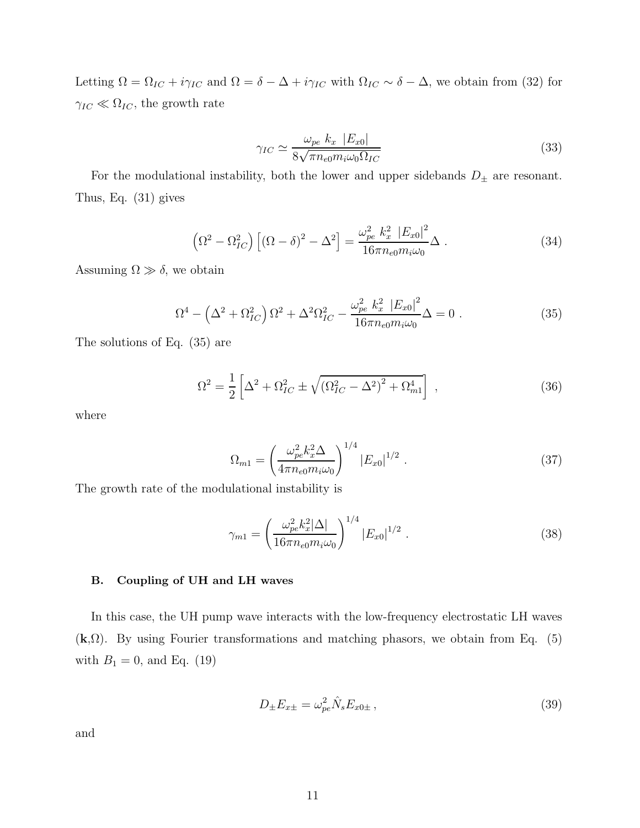Letting  $\Omega = \Omega_{IC} + i\gamma_{IC}$  and  $\Omega = \delta - \Delta + i\gamma_{IC}$  with  $\Omega_{IC} \sim \delta - \Delta$ , we obtain from (32) for  $\gamma_{IC} \ll \Omega_{IC},$  the growth rate

$$
\gamma_{IC} \simeq \frac{\omega_{pe} k_x \left| E_{x0} \right|}{8\sqrt{\pi n_{e0} m_i \omega_0 \Omega_{IC}}} \tag{33}
$$

For the modulational instability, both the lower and upper sidebands  $D_{\pm}$  are resonant. Thus, Eq. (31) gives

$$
\left(\Omega^2 - \Omega_{IC}^2\right) \left[ (\Omega - \delta)^2 - \Delta^2 \right] = \frac{\omega_{pe}^2 k_x^2 \left| E_{x0} \right|^2}{16\pi n_{e0} m_i \omega_0} \Delta \ . \tag{34}
$$

Assuming  $\Omega \gg \delta$ , we obtain

$$
\Omega^4 - \left(\Delta^2 + \Omega_{IC}^2\right)\Omega^2 + \Delta^2\Omega_{IC}^2 - \frac{\omega_{pe}^2 k_x^2 |E_{x0}|^2}{16\pi n_{e0} m_i \omega_0} \Delta = 0 \tag{35}
$$

The solutions of Eq. (35) are

$$
\Omega^2 = \frac{1}{2} \left[ \Delta^2 + \Omega_{IC}^2 \pm \sqrt{(\Omega_{IC}^2 - \Delta^2)^2 + \Omega_{m1}^4} \right],
$$
\n(36)

where

$$
\Omega_{m1} = \left(\frac{\omega_{pe}^2 k_x^2 \Delta}{4\pi n_{e0} m_i \omega_0}\right)^{1/4} |E_{x0}|^{1/2} . \tag{37}
$$

The growth rate of the modulational instability is

$$
\gamma_{m1} = \left(\frac{\omega_{pe}^2 k_x^2 |\Delta|}{16\pi n_{e0} m_i \omega_0}\right)^{1/4} |E_{x0}|^{1/2} . \tag{38}
$$

## B. Coupling of UH and LH waves

In this case, the UH pump wave interacts with the low-frequency electrostatic LH waves  $(k, \Omega)$ . By using Fourier transformations and matching phasors, we obtain from Eq. (5) with  $B_1 = 0$ , and Eq. (19)

$$
D_{\pm}E_{x\pm} = \omega_{pe}^2 \hat{N}_s E_{x0\pm} , \qquad (39)
$$

and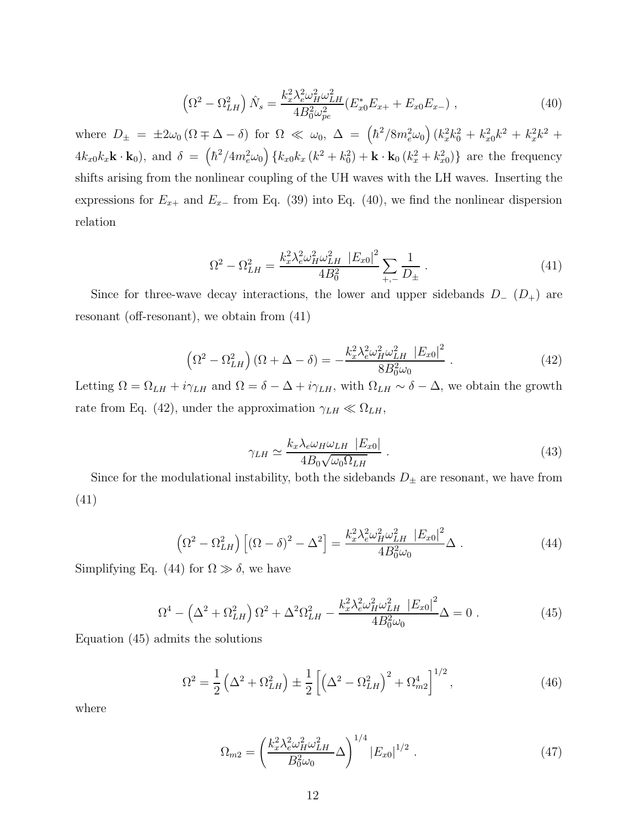$$
\left(\Omega^2 - \Omega_{LH}^2\right)\hat{N}_s = \frac{k_x^2 \lambda_e^2 \omega_H^2 \omega_{LH}^2}{4B_0^2 \omega_{pe}^2} (E_{x0}^* E_{x+} + E_{x0} E_{x-}), \qquad (40)
$$

where  $D_{\pm} = \pm 2\omega_0 (\Omega \mp \Delta - \delta)$  for  $\Omega \ll \omega_0$ ,  $\Delta = (\hbar^2/8m_e^2\omega_0)(k_x^2k_0^2 + k_{x0}^2k^2 + k_x^2k^2 +$  $4k_{x0}k_{x}\mathbf{k}\cdot\mathbf{k}_{0}$ , and  $\delta = (\hbar^{2}/4m_{e}^{2}\omega_{0})\{k_{x0}k_{x}(k^{2}+k_{0}^{2})+\mathbf{k}\cdot\mathbf{k}_{0}(k_{x}^{2}+k_{x0}^{2})\}$  are the frequency shifts arising from the nonlinear coupling of the UH waves with the LH waves. Inserting the expressions for  $E_{x+}$  and  $E_{x-}$  from Eq. (39) into Eq. (40), we find the nonlinear dispersion relation

$$
\Omega^2 - \Omega_{LH}^2 = \frac{k_x^2 \lambda_e^2 \omega_H^2 \omega_{LH}^2 \left| E_{x0} \right|^2}{4B_0^2} \sum_{+,-} \frac{1}{D_{\pm}} \,. \tag{41}
$$

Since for three-wave decay interactions, the lower and upper sidebands  $D_-(D_+)$  are resonant (off-resonant), we obtain from (41)

$$
\left(\Omega^2 - \Omega_{LH}^2\right)(\Omega + \Delta - \delta) = -\frac{k_x^2 \lambda_e^2 \omega_H^2 \omega_{LH}^2 |E_{x0}|^2}{8B_0^2 \omega_0} \,. \tag{42}
$$

Letting  $\Omega = \Omega_{LH} + i\gamma_{LH}$  and  $\Omega = \delta - \Delta + i\gamma_{LH}$ , with  $\Omega_{LH} \sim \delta - \Delta$ , we obtain the growth rate from Eq. (42), under the approximation  $\gamma_{LH} \ll \Omega_{LH}$ ,

$$
\gamma_{LH} \simeq \frac{k_x \lambda_e \omega_H \omega_{LH} \ |E_{x0}|}{4B_0 \sqrt{\omega_0 \Omega_{LH}}} \,. \tag{43}
$$

Since for the modulational instability, both the sidebands  $D_{\pm}$  are resonant, we have from (41)

$$
\left(\Omega^2 - \Omega_{LH}^2\right) \left[ \left(\Omega - \delta\right)^2 - \Delta^2 \right] = \frac{k_x^2 \lambda_e^2 \omega_H^2 \omega_{LH}^2 \left| E_{x0} \right|^2}{4B_0^2 \omega_0} \Delta \ . \tag{44}
$$

Simplifying Eq. (44) for  $\Omega \gg \delta$ , we have

$$
\Omega^4 - \left(\Delta^2 + \Omega_{LH}^2\right)\Omega^2 + \Delta^2\Omega_{LH}^2 - \frac{k_x^2\lambda_e^2\omega_H^2\omega_{LH}^2 \left|E_{x0}\right|^2}{4B_0^2\omega_0}\Delta = 0\ .\tag{45}
$$

Equation (45) admits the solutions

$$
\Omega^2 = \frac{1}{2} \left( \Delta^2 + \Omega_{LH}^2 \right) \pm \frac{1}{2} \left[ \left( \Delta^2 - \Omega_{LH}^2 \right)^2 + \Omega_{m2}^4 \right]^{1/2},\tag{46}
$$

where

$$
\Omega_{m2} = \left(\frac{k_x^2 \lambda_e^2 \omega_H^2 \omega_{LH}^2}{B_0^2 \omega_0} \Delta\right)^{1/4} |E_{x0}|^{1/2} . \tag{47}
$$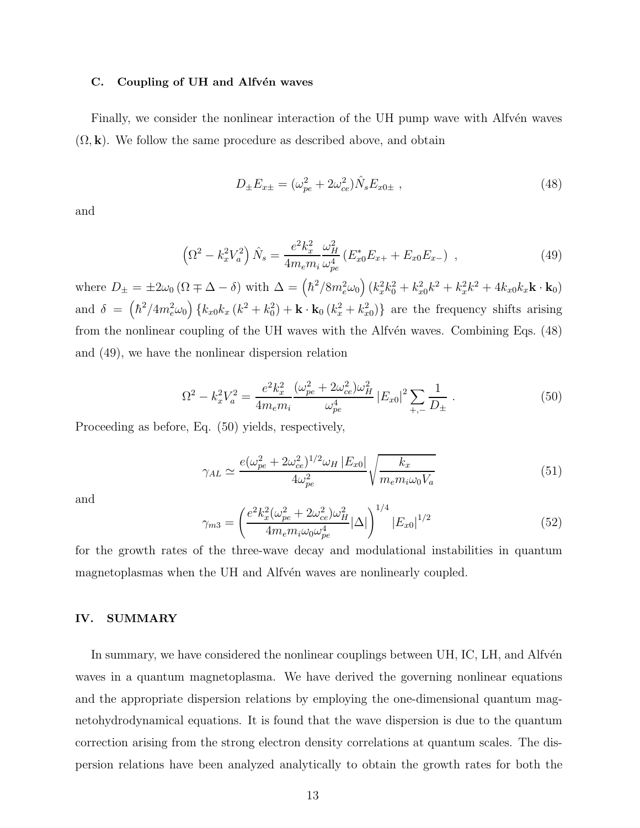#### C. Coupling of UH and Alfvén waves

Finally, we consider the nonlinear interaction of the UH pump wave with Alfvén waves  $(\Omega, \mathbf{k})$ . We follow the same procedure as described above, and obtain

$$
D_{\pm}E_{x\pm} = (\omega_{pe}^2 + 2\omega_{ce}^2)\hat{N}_s E_{x0\pm} , \qquad (48)
$$

and

$$
\left(\Omega^2 - k_x^2 V_a^2\right) \hat{N}_s = \frac{e^2 k_x^2}{4m_e m_i} \frac{\omega_H^2}{\omega_{pe}^4} \left(E_{x0}^* E_{x+} + E_{x0} E_{x-}\right) ,\qquad (49)
$$

where  $D_{\pm} = \pm 2\omega_0 \left( \Omega \mp \Delta - \delta \right)$  with  $\Delta = \left( \hbar^2 / 8m_e^2 \omega_0 \right) \left( k_x^2 k_0^2 + k_{x0}^2 k^2 + k_x^2 k^2 + 4k_{x0} k_x \mathbf{k} \cdot \mathbf{k}_0 \right)$ and  $\delta = (\hbar^2/4m_e^2\omega_0) \{k_{x0}k_x(k^2+k_0^2) + \mathbf{k} \cdot \mathbf{k}_0(k_x^2+k_{x0}^2)\}\$  are the frequency shifts arising from the nonlinear coupling of the UH waves with the Alfvén waves. Combining Eqs. (48) and (49), we have the nonlinear dispersion relation

$$
\Omega^2 - k_x^2 V_a^2 = \frac{e^2 k_x^2}{4m_e m_i} \frac{(\omega_{pe}^2 + 2\omega_{ce}^2)\omega_H^2}{\omega_{pe}^4} |E_{x0}|^2 \sum_{+,-} \frac{1}{D_{\pm}} \,. \tag{50}
$$

Proceeding as before, Eq. (50) yields, respectively,

$$
\gamma_{AL} \simeq \frac{e(\omega_{pe}^2 + 2\omega_{ce}^2)^{1/2}\omega_H \left| E_{x0} \right|}{4\omega_{pe}^2} \sqrt{\frac{k_x}{m_e m_i \omega_0 V_a}} \tag{51}
$$

and

$$
\gamma_{m3} = \left(\frac{e^2 k_x^2 (\omega_{pe}^2 + 2\omega_{ce}^2)\omega_H^2}{4m_e m_i \omega_0 \omega_{pe}^4} |\Delta|\right)^{1/4} |E_{x0}|^{1/2}
$$
(52)

for the growth rates of the three-wave decay and modulational instabilities in quantum magnetoplasmas when the UH and Alfvén waves are nonlinearly coupled.

## IV. SUMMARY

In summary, we have considered the nonlinear couplings between UH, IC, LH, and Alfvén waves in a quantum magnetoplasma. We have derived the governing nonlinear equations and the appropriate dispersion relations by employing the one-dimensional quantum magnetohydrodynamical equations. It is found that the wave dispersion is due to the quantum correction arising from the strong electron density correlations at quantum scales. The dispersion relations have been analyzed analytically to obtain the growth rates for both the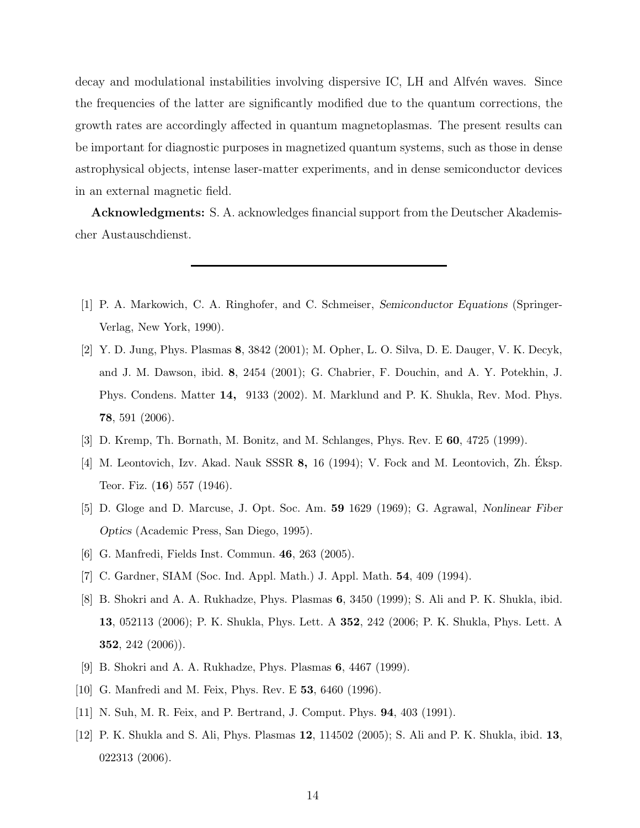decay and modulational instabilities involving dispersive IC, LH and Alfvén waves. Since the frequencies of the latter are significantly modified due to the quantum corrections, the growth rates are accordingly affected in quantum magnetoplasmas. The present results can be important for diagnostic purposes in magnetized quantum systems, such as those in dense astrophysical objects, intense laser-matter experiments, and in dense semiconductor devices in an external magnetic field.

Acknowledgments: S. A. acknowledges financial support from the Deutscher Akademischer Austauschdienst.

- <span id="page-13-0"></span>[1] P. A. Markowich, C. A. Ringhofer, and C. Schmeiser, Semiconductor Equations (Springer-Verlag, New York, 1990).
- <span id="page-13-1"></span>[2] Y. D. Jung, Phys. Plasmas 8, 3842 (2001); M. Opher, L. O. Silva, D. E. Dauger, V. K. Decyk, and J. M. Dawson, ibid. 8, 2454 (2001); G. Chabrier, F. Douchin, and A. Y. Potekhin, J. Phys. Condens. Matter 14, 9133 (2002). M. Marklund and P. K. Shukla, Rev. Mod. Phys. 78, 591 (2006).
- <span id="page-13-3"></span><span id="page-13-2"></span>[3] D. Kremp, Th. Bornath, M. Bonitz, and M. Schlanges, Phys. Rev. E 60, 4725 (1999).
- [4] M. Leontovich, Izv. Akad. Nauk SSSR 8, 16 (1994); V. Fock and M. Leontovich, Zh. Eksp. ´ Teor. Fiz. (16) 557 (1946).
- <span id="page-13-4"></span>[5] D. Gloge and D. Marcuse, J. Opt. Soc. Am. 59 1629 (1969); G. Agrawal, Nonlinear Fiber Optics (Academic Press, San Diego, 1995).
- <span id="page-13-5"></span>[6] G. Manfredi, Fields Inst. Commun. 46, 263 (2005).
- <span id="page-13-6"></span>[7] C. Gardner, SIAM (Soc. Ind. Appl. Math.) J. Appl. Math. 54, 409 (1994).
- <span id="page-13-7"></span>[8] B. Shokri and A. A. Rukhadze, Phys. Plasmas 6, 3450 (1999); S. Ali and P. K. Shukla, ibid. 13, 052113 (2006); P. K. Shukla, Phys. Lett. A 352, 242 (2006; P. K. Shukla, Phys. Lett. A 352, 242 (2006)).
- <span id="page-13-8"></span>[9] B. Shokri and A. A. Rukhadze, Phys. Plasmas 6, 4467 (1999).
- <span id="page-13-9"></span>[10] G. Manfredi and M. Feix, Phys. Rev. E **53**, 6460 (1996).
- <span id="page-13-11"></span><span id="page-13-10"></span>[11] N. Suh, M. R. Feix, and P. Bertrand, J. Comput. Phys. 94, 403 (1991).
- [12] P. K. Shukla and S. Ali, Phys. Plasmas 12, 114502 (2005); S. Ali and P. K. Shukla, ibid. 13, 022313 (2006).